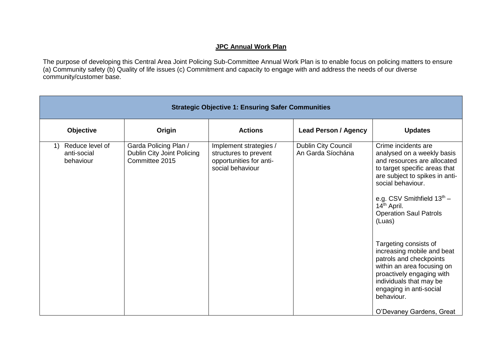## **JPC Annual Work Plan**

The purpose of developing this Central Area Joint Policing Sub-Committee Annual Work Plan is to enable focus on policing matters to ensure (a) Community safety (b) Quality of life issues (c) Commitment and capacity to engage with and address the needs of our diverse community/customer base.

| <b>Strategic Objective 1: Ensuring Safer Communities</b> |                                                                       |                                                                                                |                                          |                                                                                                                                                                                                                                                                                                                                                                                                                                                                                                                             |  |
|----------------------------------------------------------|-----------------------------------------------------------------------|------------------------------------------------------------------------------------------------|------------------------------------------|-----------------------------------------------------------------------------------------------------------------------------------------------------------------------------------------------------------------------------------------------------------------------------------------------------------------------------------------------------------------------------------------------------------------------------------------------------------------------------------------------------------------------------|--|
| Objective                                                | Origin                                                                | <b>Actions</b>                                                                                 | <b>Lead Person / Agency</b>              | <b>Updates</b>                                                                                                                                                                                                                                                                                                                                                                                                                                                                                                              |  |
| Reduce level of<br>1)<br>anti-social<br>behaviour        | Garda Policing Plan /<br>Dublin City Joint Policing<br>Committee 2015 | Implement strategies /<br>structures to prevent<br>opportunities for anti-<br>social behaviour | Dublin City Council<br>An Garda Síochána | Crime incidents are<br>analysed on a weekly basis<br>and resources are allocated<br>to target specific areas that<br>are subject to spikes in anti-<br>social behaviour.<br>e.g. CSV Smithfield $13th$ -<br>14 <sup>th</sup> April.<br><b>Operation Saul Patrols</b><br>(Luas)<br>Targeting consists of<br>increasing mobile and beat<br>patrols and checkpoints<br>within an area focusing on<br>proactively engaging with<br>individuals that may be<br>engaging in anti-social<br>behaviour.<br>O'Devaney Gardens, Great |  |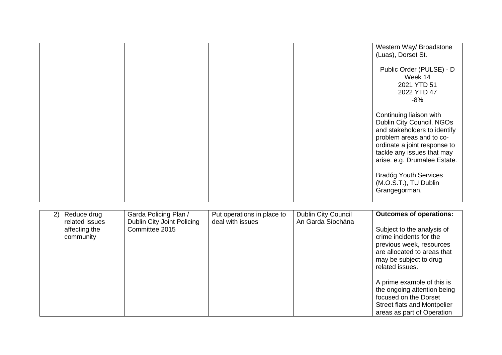|                                                                   |                                                                       |                                                |                                          | Western Way/ Broadstone<br>(Luas), Dorset St.                                                                                                                                                                                                                                            |
|-------------------------------------------------------------------|-----------------------------------------------------------------------|------------------------------------------------|------------------------------------------|------------------------------------------------------------------------------------------------------------------------------------------------------------------------------------------------------------------------------------------------------------------------------------------|
|                                                                   |                                                                       |                                                |                                          | Public Order (PULSE) - D<br>Week 14<br>2021 YTD 51<br>2022 YTD 47<br>$-8%$                                                                                                                                                                                                               |
|                                                                   |                                                                       |                                                |                                          | Continuing liaison with<br>Dublin City Council, NGOs<br>and stakeholders to identify<br>problem areas and to co-<br>ordinate a joint response to<br>tackle any issues that may<br>arise. e.g. Drumalee Estate.<br><b>Bradóg Youth Services</b><br>(M.O.S.T.), TU Dublin<br>Grangegorman. |
|                                                                   |                                                                       |                                                |                                          |                                                                                                                                                                                                                                                                                          |
| Reduce drug<br>2)<br>related issues<br>affecting the<br>community | Garda Policing Plan /<br>Dublin City Joint Policing<br>Committee 2015 | Put operations in place to<br>deal with issues | Dublin City Council<br>An Garda Síochána | <b>Outcomes of operations:</b><br>Subject to the analysis of<br>crime incidents for the<br>previous week, resources<br>are allocated to areas that<br>may be subject to drug<br>related issues.                                                                                          |
|                                                                   |                                                                       |                                                |                                          | A prime example of this is<br>the ongoing attention being<br>focused on the Dorset<br>Street flats and Montpelier<br>areas as part of Operation                                                                                                                                          |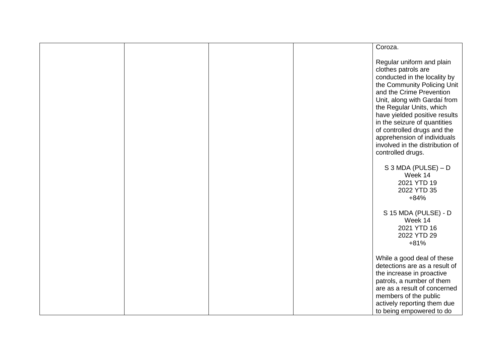|  |  | Coroza.                                                                                                                                                                                                                                                                                                                                                                                        |
|--|--|------------------------------------------------------------------------------------------------------------------------------------------------------------------------------------------------------------------------------------------------------------------------------------------------------------------------------------------------------------------------------------------------|
|  |  |                                                                                                                                                                                                                                                                                                                                                                                                |
|  |  | Regular uniform and plain<br>clothes patrols are<br>conducted in the locality by<br>the Community Policing Unit<br>and the Crime Prevention<br>Unit, along with Gardaí from<br>the Regular Units, which<br>have yielded positive results<br>in the seizure of quantities<br>of controlled drugs and the<br>apprehension of individuals<br>involved in the distribution of<br>controlled drugs. |
|  |  | $S$ 3 MDA (PULSE) – D<br>Week 14<br>2021 YTD 19<br>2022 YTD 35<br>$+84%$                                                                                                                                                                                                                                                                                                                       |
|  |  | S 15 MDA (PULSE) - D<br>Week 14<br>2021 YTD 16<br>2022 YTD 29<br>$+81%$                                                                                                                                                                                                                                                                                                                        |
|  |  | While a good deal of these<br>detections are as a result of<br>the increase in proactive<br>patrols, a number of them<br>are as a result of concerned<br>members of the public<br>actively reporting them due<br>to being empowered to do                                                                                                                                                      |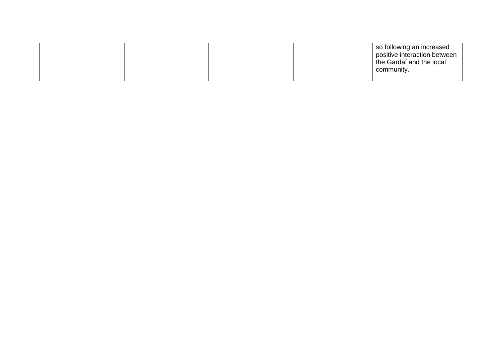|  |  | so following an increased<br>positive interaction between<br>I the Gardaí and the local<br>community. |
|--|--|-------------------------------------------------------------------------------------------------------|
|  |  |                                                                                                       |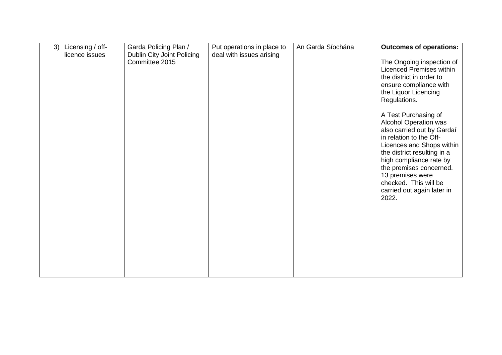| Licensing / off-<br>3) | Garda Policing Plan /                        | Put operations in place to | An Garda Síochána | <b>Outcomes of operations:</b>                                                                                                                                                                                                                                                                                      |
|------------------------|----------------------------------------------|----------------------------|-------------------|---------------------------------------------------------------------------------------------------------------------------------------------------------------------------------------------------------------------------------------------------------------------------------------------------------------------|
| licence issues         | Dublin City Joint Policing<br>Committee 2015 | deal with issues arising   |                   | The Ongoing inspection of<br>Licenced Premises within<br>the district in order to<br>ensure compliance with<br>the Liquor Licencing<br>Regulations.                                                                                                                                                                 |
|                        |                                              |                            |                   | A Test Purchasing of<br><b>Alcohol Operation was</b><br>also carried out by Gardaí<br>in relation to the Off-<br>Licences and Shops within<br>the district resulting in a<br>high compliance rate by<br>the premises concerned.<br>13 premises were<br>checked. This will be<br>carried out again later in<br>2022. |
|                        |                                              |                            |                   |                                                                                                                                                                                                                                                                                                                     |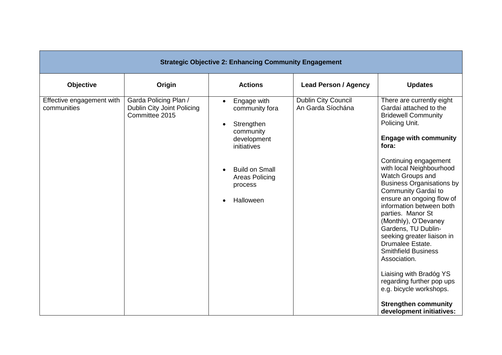| <b>Strategic Objective 2: Enhancing Community Engagement</b> |                                                                       |                                                                                                                                                                                                  |                                                 |                                                                                                                                                                                                                                                                                                                                                                                                                                                                                                                                                                                                                                                             |
|--------------------------------------------------------------|-----------------------------------------------------------------------|--------------------------------------------------------------------------------------------------------------------------------------------------------------------------------------------------|-------------------------------------------------|-------------------------------------------------------------------------------------------------------------------------------------------------------------------------------------------------------------------------------------------------------------------------------------------------------------------------------------------------------------------------------------------------------------------------------------------------------------------------------------------------------------------------------------------------------------------------------------------------------------------------------------------------------------|
| Objective                                                    | Origin                                                                | <b>Actions</b>                                                                                                                                                                                   | <b>Lead Person / Agency</b>                     | <b>Updates</b>                                                                                                                                                                                                                                                                                                                                                                                                                                                                                                                                                                                                                                              |
| Effective engagement with<br>communities                     | Garda Policing Plan /<br>Dublin City Joint Policing<br>Committee 2015 | Engage with<br>$\bullet$<br>community fora<br>Strengthen<br>$\bullet$<br>community<br>development<br>initiatives<br><b>Build on Small</b><br>Areas Policing<br>process<br>Halloween<br>$\bullet$ | <b>Dublin City Council</b><br>An Garda Síochána | There are currently eight<br>Gardaí attached to the<br><b>Bridewell Community</b><br>Policing Unit.<br><b>Engage with community</b><br>fora:<br>Continuing engagement<br>with local Neighbourhood<br>Watch Groups and<br><b>Business Organisations by</b><br>Community Gardaí to<br>ensure an ongoing flow of<br>information between both<br>parties. Manor St<br>(Monthly), O'Devaney<br>Gardens, TU Dublin-<br>seeking greater liaison in<br>Drumalee Estate.<br><b>Smithfield Business</b><br>Association.<br>Liaising with Bradóg YS<br>regarding further pop ups<br>e.g. bicycle workshops.<br><b>Strengthen community</b><br>development initiatives: |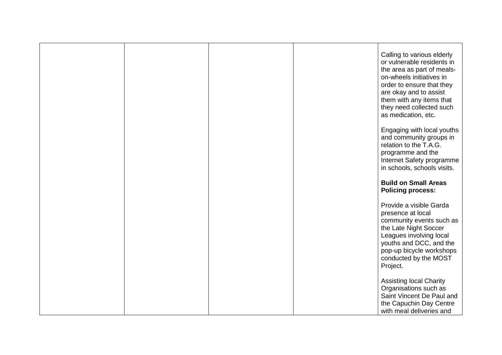|  |  | Calling to various elderly<br>or vulnerable residents in<br>the area as part of meals-<br>on-wheels initiatives in<br>order to ensure that they<br>are okay and to assist<br>them with any items that<br>they need collected such<br>as medication, etc. |
|--|--|----------------------------------------------------------------------------------------------------------------------------------------------------------------------------------------------------------------------------------------------------------|
|  |  | Engaging with local youths<br>and community groups in<br>relation to the T.A.G.<br>programme and the<br>Internet Safety programme<br>in schools, schools visits.                                                                                         |
|  |  | <b>Build on Small Areas</b><br><b>Policing process:</b>                                                                                                                                                                                                  |
|  |  | Provide a visible Garda<br>presence at local<br>community events such as<br>the Late Night Soccer<br>Leagues involving local<br>youths and DCC, and the<br>pop-up bicycle workshops<br>conducted by the MOST<br>Project.                                 |
|  |  | <b>Assisting local Charity</b><br>Organisations such as<br>Saint Vincent De Paul and<br>the Capuchin Day Centre<br>with meal deliveries and                                                                                                              |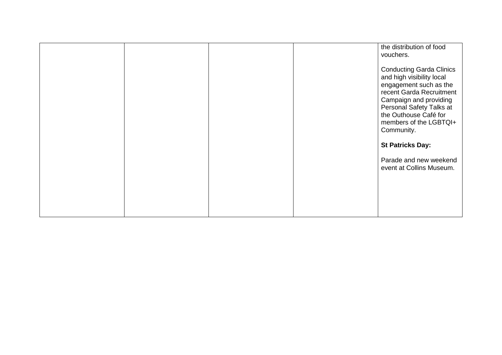|  |  | the distribution of food<br>vouchers.                                                                                                                                                                                                     |
|--|--|-------------------------------------------------------------------------------------------------------------------------------------------------------------------------------------------------------------------------------------------|
|  |  | <b>Conducting Garda Clinics</b><br>and high visibility local<br>engagement such as the<br>recent Garda Recruitment<br>Campaign and providing<br>Personal Safety Talks at<br>the Outhouse Café for<br>members of the LGBTQI+<br>Community. |
|  |  | <b>St Patricks Day:</b>                                                                                                                                                                                                                   |
|  |  | Parade and new weekend<br>event at Collins Museum.                                                                                                                                                                                        |
|  |  |                                                                                                                                                                                                                                           |
|  |  |                                                                                                                                                                                                                                           |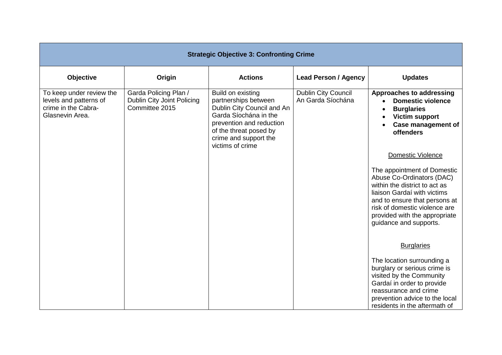| <b>Strategic Objective 3: Confronting Crime</b>                                              |                                                                       |                                                                                                                                                                                                     |                                                 |                                                                                                                                                                                                                                                                            |
|----------------------------------------------------------------------------------------------|-----------------------------------------------------------------------|-----------------------------------------------------------------------------------------------------------------------------------------------------------------------------------------------------|-------------------------------------------------|----------------------------------------------------------------------------------------------------------------------------------------------------------------------------------------------------------------------------------------------------------------------------|
| Objective                                                                                    | Origin                                                                | <b>Actions</b>                                                                                                                                                                                      | <b>Lead Person / Agency</b>                     | <b>Updates</b>                                                                                                                                                                                                                                                             |
| To keep under review the<br>levels and patterns of<br>crime in the Cabra-<br>Glasnevin Area. | Garda Policing Plan /<br>Dublin City Joint Policing<br>Committee 2015 | Build on existing<br>partnerships between<br>Dublin City Council and An<br>Garda Síochána in the<br>prevention and reduction<br>of the threat posed by<br>crime and support the<br>victims of crime | <b>Dublin City Council</b><br>An Garda Síochána | Approaches to addressing<br><b>Domestic violence</b><br><b>Burglaries</b><br><b>Victim support</b><br><b>Case management of</b><br><b>offenders</b>                                                                                                                        |
|                                                                                              |                                                                       |                                                                                                                                                                                                     |                                                 | Domestic Violence<br>The appointment of Domestic<br>Abuse Co-Ordinators (DAC)<br>within the district to act as<br>liaison Gardaí with victims<br>and to ensure that persons at<br>risk of domestic violence are<br>provided with the appropriate<br>guidance and supports. |
|                                                                                              |                                                                       |                                                                                                                                                                                                     |                                                 | <b>Burglaries</b>                                                                                                                                                                                                                                                          |
|                                                                                              |                                                                       |                                                                                                                                                                                                     |                                                 | The location surrounding a<br>burglary or serious crime is<br>visited by the Community<br>Gardaí in order to provide<br>reassurance and crime<br>prevention advice to the local<br>residents in the aftermath of                                                           |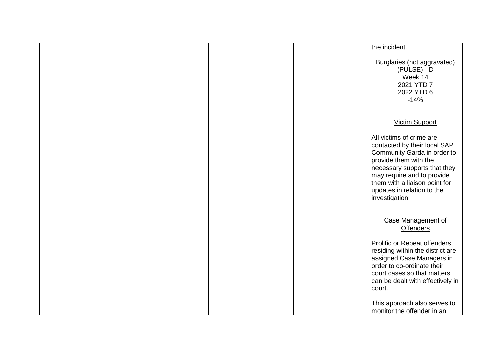|  |  | the incident.                                                                                                                                                                                                                                                   |
|--|--|-----------------------------------------------------------------------------------------------------------------------------------------------------------------------------------------------------------------------------------------------------------------|
|  |  | Burglaries (not aggravated)<br>$(PULSE) - D$<br>Week 14<br>2021 YTD 7<br>2022 YTD 6<br>$-14%$                                                                                                                                                                   |
|  |  | <b>Victim Support</b>                                                                                                                                                                                                                                           |
|  |  | All victims of crime are<br>contacted by their local SAP<br>Community Garda in order to<br>provide them with the<br>necessary supports that they<br>may require and to provide<br>them with a liaison point for<br>updates in relation to the<br>investigation. |
|  |  | <b>Case Management of</b><br><b>Offenders</b>                                                                                                                                                                                                                   |
|  |  | Prolific or Repeat offenders<br>residing within the district are<br>assigned Case Managers in<br>order to co-ordinate their<br>court cases so that matters<br>can be dealt with effectively in<br>court.                                                        |
|  |  | This approach also serves to<br>monitor the offender in an                                                                                                                                                                                                      |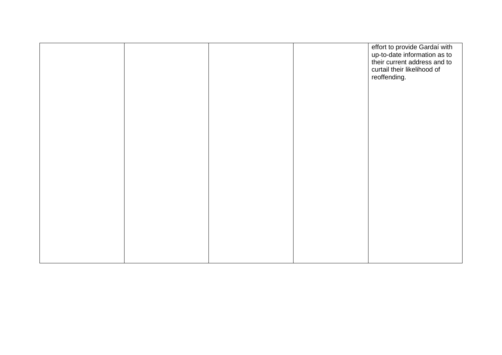|  |  | effort to provide Gardaí with<br>up-to-date information as to<br>their current address and to<br>curtail their likelihood of<br>reoffending. |
|--|--|----------------------------------------------------------------------------------------------------------------------------------------------|
|  |  |                                                                                                                                              |
|  |  |                                                                                                                                              |
|  |  |                                                                                                                                              |
|  |  |                                                                                                                                              |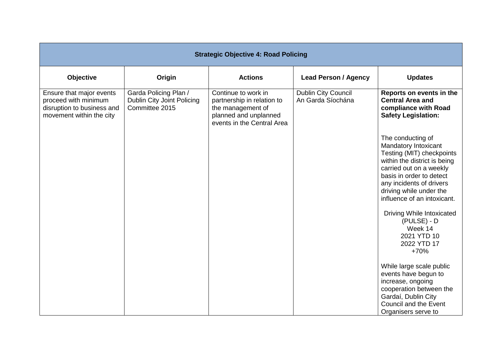| <b>Strategic Objective 4: Road Policing</b>                                                                |                                                                       |                                                                                                                               |                                                 |                                                                                                                                                                                                                                                                                                                                            |  |
|------------------------------------------------------------------------------------------------------------|-----------------------------------------------------------------------|-------------------------------------------------------------------------------------------------------------------------------|-------------------------------------------------|--------------------------------------------------------------------------------------------------------------------------------------------------------------------------------------------------------------------------------------------------------------------------------------------------------------------------------------------|--|
| Objective                                                                                                  | Origin                                                                | <b>Actions</b>                                                                                                                | <b>Lead Person / Agency</b>                     | <b>Updates</b>                                                                                                                                                                                                                                                                                                                             |  |
| Ensure that major events<br>proceed with minimum<br>disruption to business and<br>movement within the city | Garda Policing Plan /<br>Dublin City Joint Policing<br>Committee 2015 | Continue to work in<br>partnership in relation to<br>the management of<br>planned and unplanned<br>events in the Central Area | <b>Dublin City Council</b><br>An Garda Síochána | Reports on events in the<br><b>Central Area and</b><br>compliance with Road<br><b>Safety Legislation:</b>                                                                                                                                                                                                                                  |  |
|                                                                                                            |                                                                       |                                                                                                                               |                                                 | The conducting of<br>Mandatory Intoxicant<br>Testing (MIT) checkpoints<br>within the district is being<br>carried out on a weekly<br>basis in order to detect<br>any incidents of drivers<br>driving while under the<br>influence of an intoxicant.<br>Driving While Intoxicated<br>$(PULSE) - D$<br>Week 14<br>2021 YTD 10<br>2022 YTD 17 |  |
|                                                                                                            |                                                                       |                                                                                                                               |                                                 | $+70%$<br>While large scale public<br>events have begun to<br>increase, ongoing<br>cooperation between the<br>Gardaí, Dublin City<br>Council and the Event<br>Organisers serve to                                                                                                                                                          |  |